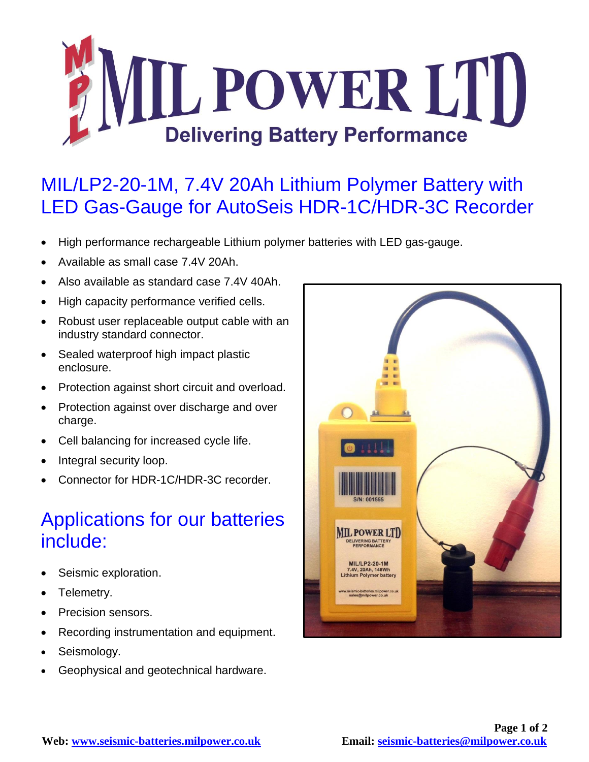

## MIL/LP2-20-1M, 7.4V 20Ah Lithium Polymer Battery with LED Gas-Gauge for AutoSeis HDR-1C/HDR-3C Recorder

- High performance rechargeable Lithium polymer batteries with LED gas-gauge.
- Available as small case 7.4V 20Ah.
- Also available as standard case 7.4V 40Ah.
- High capacity performance verified cells.
- Robust user replaceable output cable with an industry standard connector.
- Sealed waterproof high impact plastic enclosure.
- Protection against short circuit and overload.
- Protection against over discharge and over charge.
- Cell balancing for increased cycle life.
- Integral security loop.
- Connector for HDR-1C/HDR-3C recorder.

## Applications for our batteries include:

- Seismic exploration.
- Telemetry.
- Precision sensors.
- Recording instrumentation and equipment.
- Seismology.
- Geophysical and geotechnical hardware.